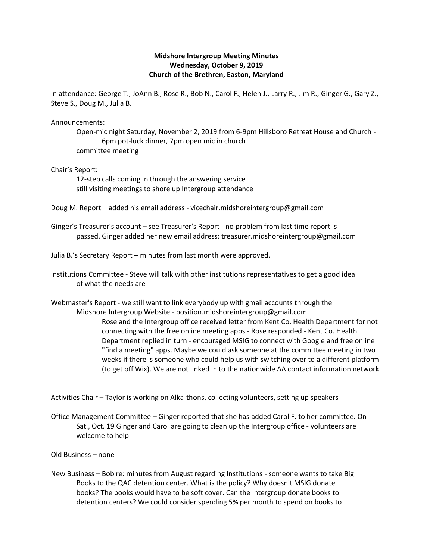## **Midshore Intergroup Meeting Minutes Wednesday, October 9, 2019 Church of the Brethren, Easton, Maryland**

In attendance: George T., JoAnn B., Rose R., Bob N., Carol F., Helen J., Larry R., Jim R., Ginger G., Gary Z., Steve S., Doug M., Julia B.

Announcements:

Open-mic night Saturday, November 2, 2019 from 6-9pm Hillsboro Retreat House and Church - 6pm pot-luck dinner, 7pm open mic in church committee meeting

Chair's Report:

12-step calls coming in through the answering service still visiting meetings to shore up Intergroup attendance

Doug M. Report – added his email address - vicechair.midshoreintergroup@gmail.com

Ginger's Treasurer's account – see Treasurer's Report - no problem from last time report is passed. Ginger added her new email address: treasurer.midshoreintergroup@gmail.com

Julia B.'s Secretary Report – minutes from last month were approved.

Institutions Committee - Steve will talk with other institutions representatives to get a good idea of what the needs are

Webmaster's Report - we still want to link everybody up with gmail accounts through the Midshore Intergroup Website - position.midshoreintergroup@gmail.com

> Rose and the Intergroup office received letter from Kent Co. Health Department for not connecting with the free online meeting apps - Rose responded - Kent Co. Health Department replied in turn - encouraged MSIG to connect with Google and free online "find a meeting" apps. Maybe we could ask someone at the committee meeting in two weeks if there is someone who could help us with switching over to a different platform (to get off Wix). We are not linked in to the nationwide AA contact information network.

Activities Chair – Taylor is working on Alka-thons, collecting volunteers, setting up speakers

Office Management Committee – Ginger reported that she has added Carol F. to her committee. On Sat., Oct. 19 Ginger and Carol are going to clean up the Intergroup office - volunteers are welcome to help

Old Business – none

New Business – Bob re: minutes from August regarding Institutions - someone wants to take Big Books to the QAC detention center. What is the policy? Why doesn't MSIG donate books? The books would have to be soft cover. Can the Intergroup donate books to detention centers? We could consider spending 5% per month to spend on books to